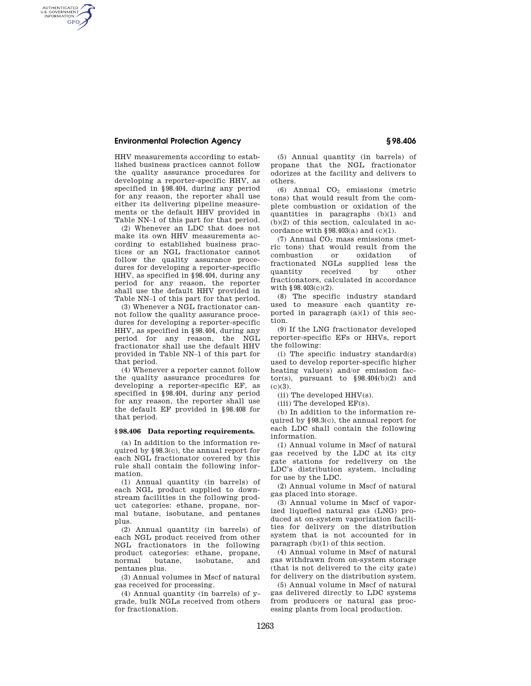### **Environmental Protection Agency § 98.406**

AUTHENTICATED<br>U.S. GOVERNMENT<br>INFORMATION **GPO** 

> HHV measurements according to established business practices cannot follow the quality assurance procedures for developing a reporter-specific HHV, as specified in §98.404, during any period for any reason, the reporter shall use either its delivering pipeline measurements or the default HHV provided in Table NN–1 of this part for that period.

> (2) Whenever an LDC that does not make its own HHV measurements according to established business practices or an NGL fractionator cannot follow the quality assurance procedures for developing a reporter-specific HHV, as specified in §98.404, during any period for any reason, the reporter shall use the default HHV provided in Table NN–1 of this part for that period.

> (3) Whenever a NGL fractionator cannot follow the quality assurance procedures for developing a reporter-specific HHV, as specified in §98.404, during any period for any reason, the NGL fractionator shall use the default HHV provided in Table NN–1 of this part for that period.

> (4) Whenever a reporter cannot follow the quality assurance procedures for developing a reporter-specific EF, as specified in §98.404, during any period for any reason, the reporter shall use the default EF provided in §98.408 for that period.

#### **§ 98.406 Data reporting requirements.**

(a) In addition to the information required by §98.3(c), the annual report for each NGL fractionator covered by this rule shall contain the following information.

(1) Annual quantity (in barrels) of each NGL product supplied to downstream facilities in the following product categories: ethane, propane, normal butane, isobutane, and pentanes plus.

(2) Annual quantity (in barrels) of each NGL product received from other NGL fractionators in the following product categories: ethane, propane, normal butane, isobutane, pentanes plus.

(3) Annual volumes in Mscf of natural gas received for processing.

(4) Annual quantity (in barrels) of ygrade, bulk NGLs received from others for fractionation.

(5) Annual quantity (in barrels) of propane that the NGL fractionator odorizes at the facility and delivers to others.

(6) Annual  $CO<sub>2</sub>$  emissions (metric tons) that would result from the complete combustion or oxidation of the quantities in paragraphs (b)(1) and (b)(2) of this section, calculated in accordance with  $§98.403(a)$  and (c)(1).

(7) Annual  $CO<sub>2</sub>$  mass emissions (metric tons) that would result from the combustion or oxidation of fractionated NGLs supplied less the quantity received by other fractionators, calculated in accordance with §98.403(c)(2).

(8) The specific industry standard used to measure each quantity reported in paragraph  $(a)(1)$  of this section.

(9) If the LNG fractionator developed reporter-specific EFs or HHVs, report the following:

(i) The specific industry standard(s) used to develop reporter-specific higher heating value(s) and/or emission factor(s), pursuant to  $§ 98.404(b)(2)$  and  $(c)(3)$ .

(ii) The developed HHV(s).

(iii) The developed EF(s).

(b) In addition to the information required by §98.3(c), the annual report for each LDC shall contain the following information.

(1) Annual volume in Mscf of natural gas received by the LDC at its city gate stations for redelivery on the LDC's distribution system, including for use by the LDC.

(2) Annual volume in Mscf of natural gas placed into storage.

(3) Annual volume in Mscf of vaporized liquefied natural gas (LNG) produced at on-system vaporization facilities for delivery on the distribution system that is not accounted for in paragraph (b)(1) of this section.

(4) Annual volume in Mscf of natural gas withdrawn from on-system storage (that is not delivered to the city gate) for delivery on the distribution system.

(5) Annual volume in Mscf of natural gas delivered directly to LDC systems from producers or natural gas processing plants from local production.